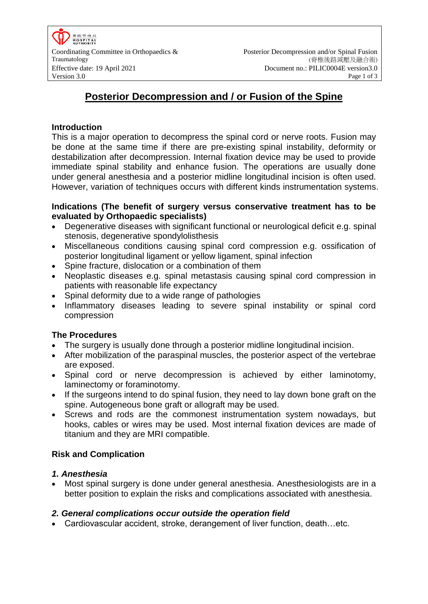# **Posterior Decompression and / or Fusion of the Spine**

## **Introduction**

This is a major operation to decompress the spinal cord or nerve roots. Fusion may be done at the same time if there are pre-existing spinal instability, deformity or destabilization after decompression. Internal fixation device may be used to provide immediate spinal stability and enhance fusion. The operations are usually done under general anesthesia and a posterior midline longitudinal incision is often used. However, variation of techniques occurs with different kinds instrumentation systems.

## **Indications (The benefit of surgery versus conservative treatment has to be evaluated by Orthopaedic specialists)**

- Degenerative diseases with significant functional or neurological deficit e.g. spinal stenosis, degenerative spondylolisthesis
- Miscellaneous conditions causing spinal cord compression e.g. ossification of posterior longitudinal ligament or yellow ligament, spinal infection
- Spine fracture, dislocation or a combination of them
- Neoplastic diseases e.g. spinal metastasis causing spinal cord compression in patients with reasonable life expectancy
- Spinal deformity due to a wide range of pathologies
- Inflammatory diseases leading to severe spinal instability or spinal cord compression

# **The Procedures**

- The surgery is usually done through a posterior midline longitudinal incision.
- After mobilization of the paraspinal muscles, the posterior aspect of the vertebrae are exposed.
- Spinal cord or nerve decompression is achieved by either laminotomy, laminectomy or foraminotomy.
- If the surgeons intend to do spinal fusion, they need to lay down bone graft on the spine. Autogeneous bone graft or allograft may be used.
- Screws and rods are the commonest instrumentation system nowadays, but hooks, cables or wires may be used. Most internal fixation devices are made of titanium and they are MRI compatible.

## **Risk and Complication**

## *1. Anesthesia*

 Most spinal surgery is done under general anesthesia. Anesthesiologists are in a better position to explain the risks and complications assoc**i**ated with anesthesia.

## *2. General complications occur outside the operation field*

Cardiovascular accident, stroke, derangement of liver function, death…etc.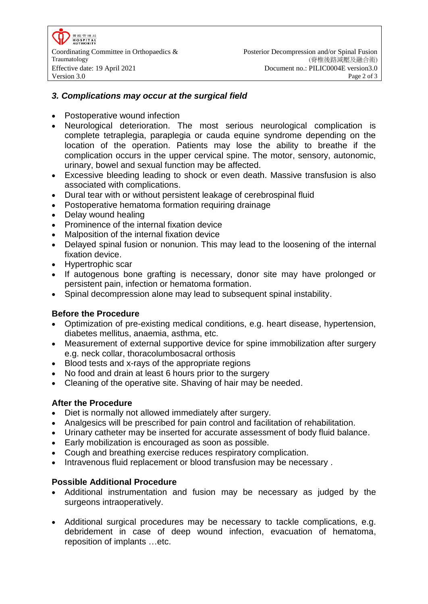零除管理局 **HOSPITAL**<br>AUTHORITY

## *3. Complications may occur at the surgical field*

- Postoperative wound infection
- Neurological deterioration. The most serious neurological complication is complete tetraplegia, paraplegia or cauda equine syndrome depending on the location of the operation. Patients may lose the ability to breathe if the complication occurs in the upper cervical spine. The motor, sensory, autonomic, urinary, bowel and sexual function may be affected.
- Excessive bleeding leading to shock or even death. Massive transfusion is also associated with complications.
- Dural tear with or without persistent leakage of cerebrospinal fluid
- Postoperative hematoma formation requiring drainage
- Delay wound healing
- Prominence of the internal fixation device
- Malposition of the internal fixation device
- Delayed spinal fusion or nonunion. This may lead to the loosening of the internal fixation device.
- Hypertrophic scar
- If autogenous bone grafting is necessary, donor site may have prolonged or persistent pain, infection or hematoma formation.
- Spinal decompression alone may lead to subsequent spinal instability.

## **Before the Procedure**

- Optimization of pre-existing medical conditions, e.g. heart disease, hypertension, diabetes mellitus, anaemia, asthma, etc.
- Measurement of external supportive device for spine immobilization after surgery e.g. neck collar, thoracolumbosacral orthosis
- Blood tests and x-rays of the appropriate regions
- No food and drain at least 6 hours prior to the surgery
- Cleaning of the operative site. Shaving of hair may be needed.

## **After the Procedure**

- Diet is normally not allowed immediately after surgery.
- Analgesics will be prescribed for pain control and facilitation of rehabilitation.
- Urinary catheter may be inserted for accurate assessment of body fluid balance.
- Early mobilization is encouraged as soon as possible.
- Cough and breathing exercise reduces respiratory complication.
- Intravenous fluid replacement or blood transfusion may be necessary.

## **Possible Additional Procedure**

- Additional instrumentation and fusion may be necessary as judged by the surgeons intraoperatively.
- Additional surgical procedures may be necessary to tackle complications, e.g. debridement in case of deep wound infection, evacuation of hematoma, reposition of implants …etc.